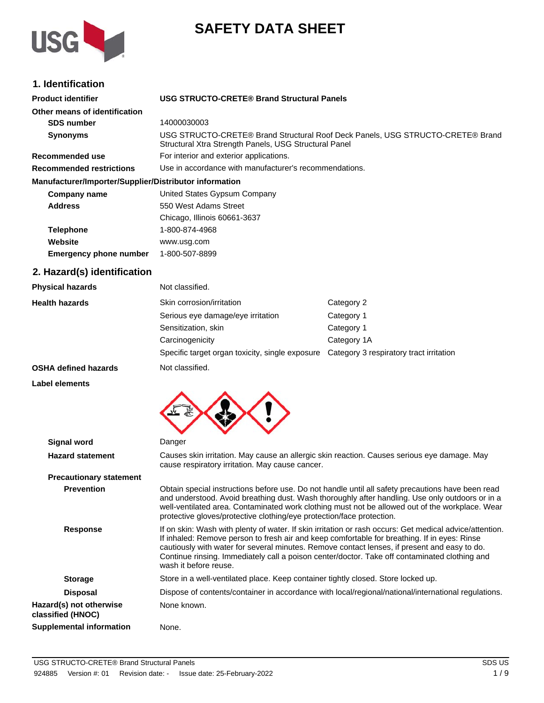

# **SAFETY DATA SHEET**

### **1. Identification**

| <b>Product identifier</b>                              | USG STRUCTO-CRETE® Brand Structural Panels                                                                                              |
|--------------------------------------------------------|-----------------------------------------------------------------------------------------------------------------------------------------|
| Other means of identification                          |                                                                                                                                         |
| <b>SDS number</b>                                      | 14000030003                                                                                                                             |
| <b>Synonyms</b>                                        | USG STRUCTO-CRETE® Brand Structural Roof Deck Panels, USG STRUCTO-CRETE® Brand<br>Structural Xtra Strength Panels, USG Structural Panel |
| Recommended use                                        | For interior and exterior applications.                                                                                                 |
| <b>Recommended restrictions</b>                        | Use in accordance with manufacturer's recommendations.                                                                                  |
| Manufacturer/Importer/Supplier/Distributor information |                                                                                                                                         |
| Company name                                           | United States Gypsum Company                                                                                                            |
| <b>Address</b>                                         | 550 West Adams Street                                                                                                                   |
|                                                        | Chicago, Illinois 60661-3637                                                                                                            |
| <b>Telephone</b>                                       | 1-800-874-4968                                                                                                                          |
| Website                                                | www.usg.com                                                                                                                             |
| <b>Emergency phone number</b>                          | 1-800-507-8899                                                                                                                          |

## **2. Hazard(s) identification**

| <b>Physical hazards</b>     | Not classified.                                 |                                         |
|-----------------------------|-------------------------------------------------|-----------------------------------------|
| <b>Health hazards</b>       | Skin corrosion/irritation                       | Category 2                              |
|                             | Serious eye damage/eye irritation               | Category 1                              |
|                             | Sensitization, skin                             | Category 1                              |
|                             | Carcinogenicity                                 | Category 1A                             |
|                             | Specific target organ toxicity, single exposure | Category 3 respiratory tract irritation |
| <b>OSHA defined hazards</b> | Not classified.                                 |                                         |

#### **Label elements**



| Signal word                                  | Danger                                                                                                                                                                                                                                                                                                                                                                                                                            |
|----------------------------------------------|-----------------------------------------------------------------------------------------------------------------------------------------------------------------------------------------------------------------------------------------------------------------------------------------------------------------------------------------------------------------------------------------------------------------------------------|
| <b>Hazard statement</b>                      | Causes skin irritation. May cause an allergic skin reaction. Causes serious eye damage. May<br>cause respiratory irritation. May cause cancer.                                                                                                                                                                                                                                                                                    |
| <b>Precautionary statement</b>               |                                                                                                                                                                                                                                                                                                                                                                                                                                   |
| <b>Prevention</b>                            | Obtain special instructions before use. Do not handle until all safety precautions have been read<br>and understood. Avoid breathing dust. Wash thoroughly after handling. Use only outdoors or in a<br>well-ventilated area. Contaminated work clothing must not be allowed out of the workplace. Wear<br>protective gloves/protective clothing/eye protection/face protection.                                                  |
| <b>Response</b>                              | If on skin: Wash with plenty of water. If skin irritation or rash occurs: Get medical advice/attention.<br>If inhaled: Remove person to fresh air and keep comfortable for breathing. If in eyes: Rinse<br>cautiously with water for several minutes. Remove contact lenses, if present and easy to do.<br>Continue rinsing. Immediately call a poison center/doctor. Take off contaminated clothing and<br>wash it before reuse. |
| <b>Storage</b>                               | Store in a well-ventilated place. Keep container tightly closed. Store locked up.                                                                                                                                                                                                                                                                                                                                                 |
| <b>Disposal</b>                              | Dispose of contents/container in accordance with local/regional/national/international regulations.                                                                                                                                                                                                                                                                                                                               |
| Hazard(s) not otherwise<br>classified (HNOC) | None known.                                                                                                                                                                                                                                                                                                                                                                                                                       |
| Supplemental information                     | None.                                                                                                                                                                                                                                                                                                                                                                                                                             |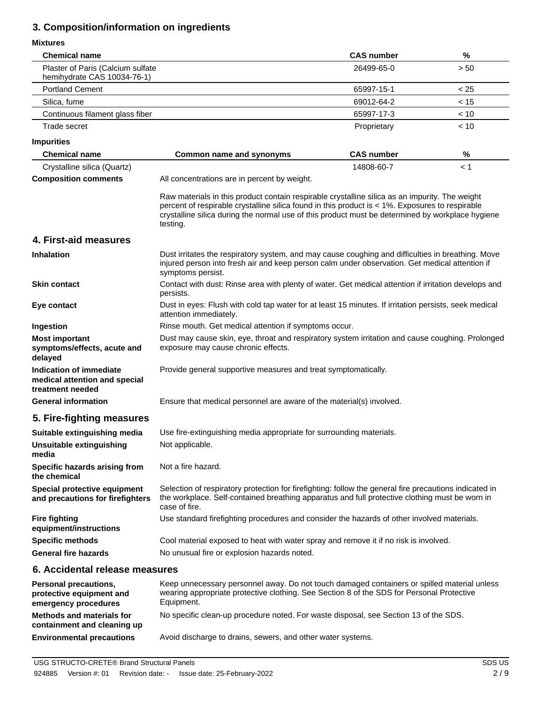### **3. Composition/information on ingredients**

#### **Mixtures**

| <b>Chemical name</b>                                                         |                                                                                                                                                                                                                                                                                                                   | <b>CAS number</b> | $\%$ |
|------------------------------------------------------------------------------|-------------------------------------------------------------------------------------------------------------------------------------------------------------------------------------------------------------------------------------------------------------------------------------------------------------------|-------------------|------|
| Plaster of Paris (Calcium sulfate<br>hemihydrate CAS 10034-76-1)             |                                                                                                                                                                                                                                                                                                                   | 26499-65-0        | > 50 |
| <b>Portland Cement</b>                                                       |                                                                                                                                                                                                                                                                                                                   | 65997-15-1        | < 25 |
| Silica, fume                                                                 |                                                                                                                                                                                                                                                                                                                   | 69012-64-2        | < 15 |
| Continuous filament glass fiber                                              |                                                                                                                                                                                                                                                                                                                   | 65997-17-3        | < 10 |
| Trade secret                                                                 |                                                                                                                                                                                                                                                                                                                   | Proprietary       | < 10 |
| <b>Impurities</b>                                                            |                                                                                                                                                                                                                                                                                                                   |                   |      |
| <b>Chemical name</b>                                                         | <b>Common name and synonyms</b>                                                                                                                                                                                                                                                                                   | <b>CAS number</b> | %    |
| Crystalline silica (Quartz)                                                  |                                                                                                                                                                                                                                                                                                                   | 14808-60-7        | < 1  |
| <b>Composition comments</b>                                                  | All concentrations are in percent by weight.                                                                                                                                                                                                                                                                      |                   |      |
|                                                                              | Raw materials in this product contain respirable crystalline silica as an impurity. The weight<br>percent of respirable crystalline silica found in this product is < 1%. Exposures to respirable<br>crystalline silica during the normal use of this product must be determined by workplace hygiene<br>testing. |                   |      |
| 4. First-aid measures                                                        |                                                                                                                                                                                                                                                                                                                   |                   |      |
| <b>Inhalation</b>                                                            | Dust irritates the respiratory system, and may cause coughing and difficulties in breathing. Move<br>injured person into fresh air and keep person calm under observation. Get medical attention if<br>symptoms persist.                                                                                          |                   |      |
| <b>Skin contact</b>                                                          | Contact with dust: Rinse area with plenty of water. Get medical attention if irritation develops and<br>persists.                                                                                                                                                                                                 |                   |      |
| Eye contact                                                                  | Dust in eyes: Flush with cold tap water for at least 15 minutes. If irritation persists, seek medical<br>attention immediately.                                                                                                                                                                                   |                   |      |
| Ingestion                                                                    | Rinse mouth. Get medical attention if symptoms occur.                                                                                                                                                                                                                                                             |                   |      |
| <b>Most important</b><br>symptoms/effects, acute and<br>delayed              | Dust may cause skin, eye, throat and respiratory system irritation and cause coughing. Prolonged<br>exposure may cause chronic effects.                                                                                                                                                                           |                   |      |
| Indication of immediate<br>medical attention and special<br>treatment needed | Provide general supportive measures and treat symptomatically.                                                                                                                                                                                                                                                    |                   |      |
| <b>General information</b>                                                   | Ensure that medical personnel are aware of the material(s) involved.                                                                                                                                                                                                                                              |                   |      |
| 5. Fire-fighting measures                                                    |                                                                                                                                                                                                                                                                                                                   |                   |      |
| Suitable extinguishing media                                                 | Use fire-extinguishing media appropriate for surrounding materials.                                                                                                                                                                                                                                               |                   |      |
| Unsuitable extinguishing<br>media                                            | Not applicable.                                                                                                                                                                                                                                                                                                   |                   |      |
| Specific hazards arising from<br>the chemical                                | Not a fire hazard.                                                                                                                                                                                                                                                                                                |                   |      |
| Special protective equipment<br>and precautions for firefighters             | Selection of respiratory protection for firefighting: follow the general fire precautions indicated in<br>the workplace. Self-contained breathing apparatus and full protective clothing must be worn in<br>case of fire.                                                                                         |                   |      |
| <b>Fire fighting</b><br>equipment/instructions                               | Use standard firefighting procedures and consider the hazards of other involved materials.                                                                                                                                                                                                                        |                   |      |
| <b>Specific methods</b>                                                      | Cool material exposed to heat with water spray and remove it if no risk is involved.                                                                                                                                                                                                                              |                   |      |
| <b>General fire hazards</b>                                                  | No unusual fire or explosion hazards noted.                                                                                                                                                                                                                                                                       |                   |      |
| 6. Accidental release measures                                               |                                                                                                                                                                                                                                                                                                                   |                   |      |
| Personal precautions,<br>protective equipment and<br>emergency procedures    | Keep unnecessary personnel away. Do not touch damaged containers or spilled material unless<br>wearing appropriate protective clothing. See Section 8 of the SDS for Personal Protective<br>Equipment.                                                                                                            |                   |      |

**Methods and materials for** No specific clean-up procedure noted. For waste disposal, see Section 13 of the SDS. **containment and cleaning up**

**Environmental precautions** Avoid discharge to drains, sewers, and other water systems.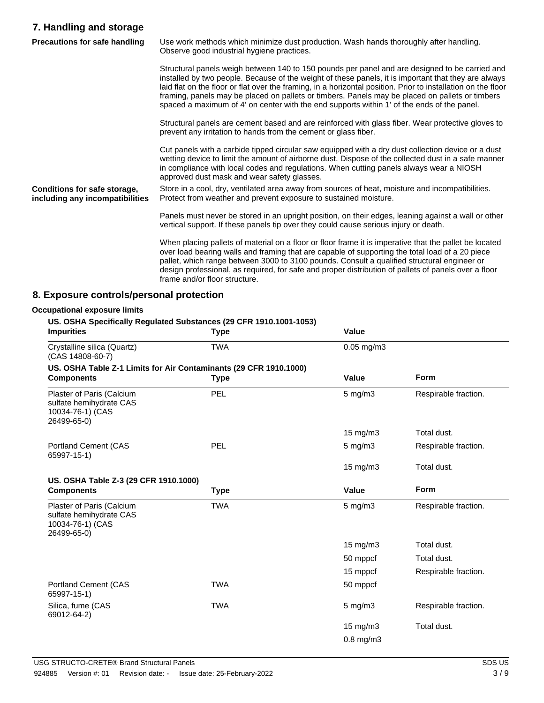### **7. Handling and storage**

| <b>Precautions for safe handling</b>                            | Use work methods which minimize dust production. Wash hands thoroughly after handling.<br>Observe good industrial hygiene practices.                                                                                                                                                                                                                                                                                                                                                                                     |  |
|-----------------------------------------------------------------|--------------------------------------------------------------------------------------------------------------------------------------------------------------------------------------------------------------------------------------------------------------------------------------------------------------------------------------------------------------------------------------------------------------------------------------------------------------------------------------------------------------------------|--|
|                                                                 | Structural panels weigh between 140 to 150 pounds per panel and are designed to be carried and<br>installed by two people. Because of the weight of these panels, it is important that they are always<br>laid flat on the floor or flat over the framing, in a horizontal position. Prior to installation on the floor<br>framing, panels may be placed on pallets or timbers. Panels may be placed on pallets or timbers<br>spaced a maximum of 4' on center with the end supports within 1' of the ends of the panel. |  |
|                                                                 | Structural panels are cement based and are reinforced with glass fiber. Wear protective gloves to<br>prevent any irritation to hands from the cement or glass fiber.                                                                                                                                                                                                                                                                                                                                                     |  |
|                                                                 | Cut panels with a carbide tipped circular saw equipped with a dry dust collection device or a dust<br>wetting device to limit the amount of airborne dust. Dispose of the collected dust in a safe manner<br>in compliance with local codes and regulations. When cutting panels always wear a NIOSH<br>approved dust mask and wear safety glasses.                                                                                                                                                                      |  |
| Conditions for safe storage,<br>including any incompatibilities | Store in a cool, dry, ventilated area away from sources of heat, moisture and incompatibilities.<br>Protect from weather and prevent exposure to sustained moisture.                                                                                                                                                                                                                                                                                                                                                     |  |
|                                                                 | Panels must never be stored in an upright position, on their edges, leaning against a wall or other<br>vertical support. If these panels tip over they could cause serious injury or death.                                                                                                                                                                                                                                                                                                                              |  |
|                                                                 | When placing pallets of material on a floor or floor frame it is imperative that the pallet be located<br>over load bearing walls and framing that are capable of supporting the total load of a 20 piece<br>pallet, which range between 3000 to 3100 pounds. Consult a qualified structural engineer or<br>design professional, as required, for safe and proper distribution of pallets of panels over a floor<br>frame and/or floor structure.                                                                        |  |

### **8. Exposure controls/personal protection**

# **Occupational exposure limits**

### **US. OSHA Specifically Regulated Substances (29 CFR 1910.1001-1053)**

| <b>Impurities</b>                                                                       | <b>Type</b> | Value              |                      |
|-----------------------------------------------------------------------------------------|-------------|--------------------|----------------------|
| Crystalline silica (Quartz)<br>(CAS 14808-60-7)                                         | <b>TWA</b>  | $0.05$ mg/m $3$    |                      |
| US. OSHA Table Z-1 Limits for Air Contaminants (29 CFR 1910.1000)                       |             |                    |                      |
| <b>Components</b>                                                                       | <b>Type</b> | Value              | Form                 |
| Plaster of Paris (Calcium<br>sulfate hemihydrate CAS<br>10034-76-1) (CAS<br>26499-65-0) | PEL         | 5 mg/m3            | Respirable fraction. |
|                                                                                         |             | $15 \text{ mg/m}$  | Total dust.          |
| Portland Cement (CAS<br>65997-15-1)                                                     | PEL         | $5$ mg/m $3$       | Respirable fraction. |
|                                                                                         |             | 15 mg/m3           | Total dust.          |
| US. OSHA Table Z-3 (29 CFR 1910.1000)                                                   |             |                    |                      |
| <b>Components</b>                                                                       | <b>Type</b> | Value              | <b>Form</b>          |
| Plaster of Paris (Calcium<br>sulfate hemihydrate CAS<br>10034-76-1) (CAS<br>26499-65-0) | <b>TWA</b>  | $5$ mg/m $3$       | Respirable fraction. |
|                                                                                         |             | 15 mg/m3           | Total dust.          |
|                                                                                         |             | 50 mppcf           | Total dust.          |
|                                                                                         |             | 15 mppcf           | Respirable fraction. |
| Portland Cement (CAS<br>65997-15-1)                                                     | <b>TWA</b>  | 50 mppcf           |                      |
| Silica, fume (CAS<br>69012-64-2)                                                        | <b>TWA</b>  | $5 \text{ mg/m}$ 3 | Respirable fraction. |
|                                                                                         |             | 15 mg/m3           | Total dust.          |
|                                                                                         |             | $0.8$ mg/m $3$     |                      |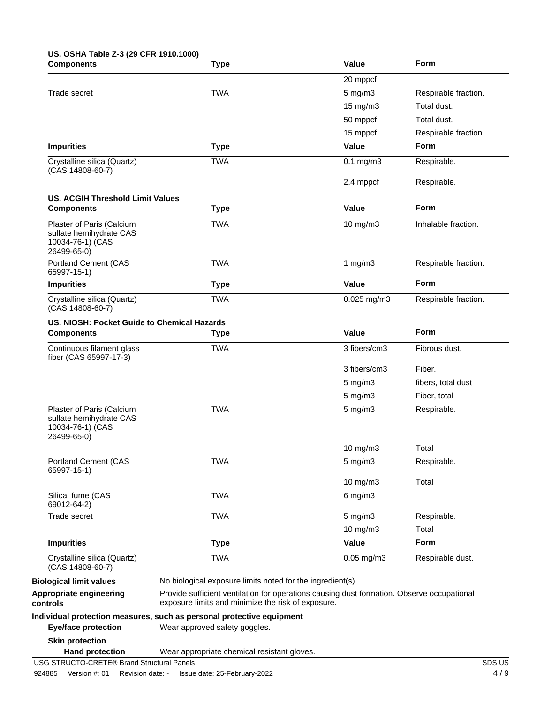## **US. OSHA Table Z-3 (29 CFR 1910.1000)**

| <b>Components</b>                                                                       | <b>Type</b>                                                                                                                                      | Value               | Form                 |
|-----------------------------------------------------------------------------------------|--------------------------------------------------------------------------------------------------------------------------------------------------|---------------------|----------------------|
|                                                                                         |                                                                                                                                                  | 20 mppcf            |                      |
| Trade secret                                                                            | <b>TWA</b>                                                                                                                                       | $5$ mg/m $3$        | Respirable fraction. |
|                                                                                         |                                                                                                                                                  | $15 \text{ mg/m}$ 3 | Total dust.          |
|                                                                                         |                                                                                                                                                  | 50 mppcf            | Total dust.          |
|                                                                                         |                                                                                                                                                  | 15 mppcf            | Respirable fraction. |
| <b>Impurities</b>                                                                       | <b>Type</b>                                                                                                                                      | Value               | <b>Form</b>          |
| Crystalline silica (Quartz)<br>(CAS 14808-60-7)                                         | <b>TWA</b>                                                                                                                                       | $0.1$ mg/m $3$      | Respirable.          |
|                                                                                         |                                                                                                                                                  | 2.4 mppcf           | Respirable.          |
| <b>US. ACGIH Threshold Limit Values</b>                                                 |                                                                                                                                                  |                     |                      |
| <b>Components</b>                                                                       | <b>Type</b>                                                                                                                                      | Value               | Form                 |
| Plaster of Paris (Calcium<br>sulfate hemihydrate CAS<br>10034-76-1) (CAS<br>26499-65-0) | <b>TWA</b>                                                                                                                                       | 10 mg/m $3$         | Inhalable fraction.  |
| <b>Portland Cement (CAS</b><br>65997-15-1)                                              | <b>TWA</b>                                                                                                                                       | 1 $mg/m3$           | Respirable fraction. |
| <b>Impurities</b>                                                                       | <b>Type</b>                                                                                                                                      | Value               | Form                 |
| Crystalline silica (Quartz)<br>(CAS 14808-60-7)                                         | <b>TWA</b>                                                                                                                                       | $0.025$ mg/m $3$    | Respirable fraction. |
| US. NIOSH: Pocket Guide to Chemical Hazards                                             |                                                                                                                                                  |                     |                      |
| <b>Components</b>                                                                       | <b>Type</b>                                                                                                                                      | Value               | Form                 |
| Continuous filament glass<br>fiber (CAS 65997-17-3)                                     | <b>TWA</b>                                                                                                                                       | 3 fibers/cm3        | Fibrous dust.        |
|                                                                                         |                                                                                                                                                  | 3 fibers/cm3        | Fiber.               |
|                                                                                         |                                                                                                                                                  | $5 \text{ mg/m}$ 3  | fibers, total dust   |
|                                                                                         |                                                                                                                                                  | $5$ mg/m $3$        | Fiber, total         |
| Plaster of Paris (Calcium<br>sulfate hemihydrate CAS<br>10034-76-1) (CAS<br>26499-65-0) | <b>TWA</b>                                                                                                                                       | $5$ mg/m $3$        | Respirable.          |
|                                                                                         |                                                                                                                                                  | 10 mg/m3            | Total                |
| <b>Portland Cement (CAS</b><br>65997-15-1)                                              | TWA                                                                                                                                              | $5$ mg/m $3$        | Respirable.          |
|                                                                                         |                                                                                                                                                  | 10 mg/m3            | Total                |
| Silica, fume (CAS<br>69012-64-2)                                                        | <b>TWA</b>                                                                                                                                       | $6$ mg/m $3$        |                      |
| Trade secret                                                                            | <b>TWA</b>                                                                                                                                       | $5$ mg/m $3$        | Respirable.          |
|                                                                                         |                                                                                                                                                  | 10 mg/m3            | Total                |
| <b>Impurities</b>                                                                       | <b>Type</b>                                                                                                                                      | Value               | Form                 |
| Crystalline silica (Quartz)<br>(CAS 14808-60-7)                                         | <b>TWA</b>                                                                                                                                       | $0.05$ mg/m $3$     | Respirable dust.     |
| <b>Biological limit values</b>                                                          | No biological exposure limits noted for the ingredient(s).                                                                                       |                     |                      |
| Appropriate engineering<br>controls                                                     | Provide sufficient ventilation for operations causing dust formation. Observe occupational<br>exposure limits and minimize the risk of exposure. |                     |                      |
|                                                                                         | Individual protection measures, such as personal protective equipment                                                                            |                     |                      |
| <b>Eye/face protection</b>                                                              | Wear approved safety goggles.                                                                                                                    |                     |                      |
| <b>Skin protection</b>                                                                  |                                                                                                                                                  |                     |                      |
| <b>Hand protection</b><br>USG STRUCTO-CRETE® Brand Structural Panels                    | Wear appropriate chemical resistant gloves.                                                                                                      |                     | SDS US               |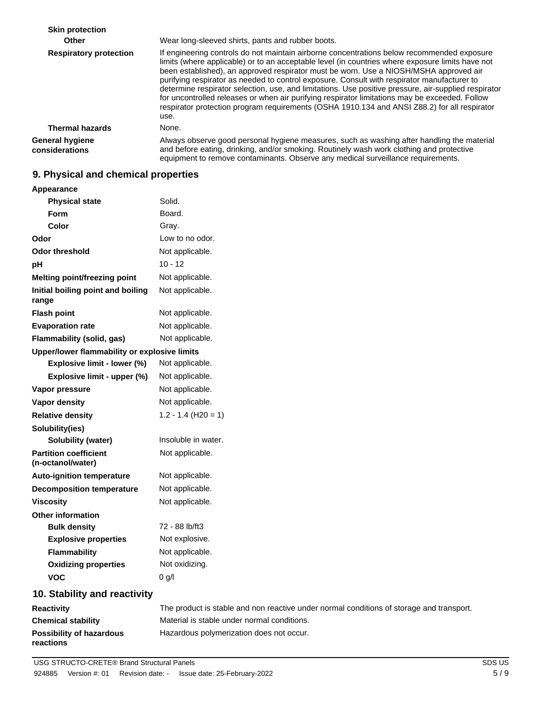**Skin protection Other** Wear long-sleeved shirts, pants and rubber boots. If engineering controls do not maintain airborne concentrations below recommended exposure limits (where applicable) or to an acceptable level (in countries where exposure limits have not been established), an approved respirator must be worn. Use a NIOSH/MSHA approved air purifying respirator as needed to control exposure. Consult with respirator manufacturer to determine respirator selection, use, and limitations. Use positive pressure, air-supplied respirator for uncontrolled releases or when air purifying respirator limitations may be exceeded. Follow respirator protection program requirements (OSHA 1910.134 and ANSI Z88.2) for all respirator use. **Respiratory protection Thermal hazards** None. Always observe good personal hygiene measures, such as washing after handling the material and before eating, drinking, and/or smoking. Routinely wash work clothing and protective equipment to remove contaminants. Observe any medical surveillance requirements. **General hygiene considerations**

#### **9. Physical and chemical properties**

| Appearance                                        |                                                                                         |
|---------------------------------------------------|-----------------------------------------------------------------------------------------|
| <b>Physical state</b>                             | Solid.                                                                                  |
| Form                                              | Board.                                                                                  |
| Color                                             | Gray.                                                                                   |
| Odor                                              | Low to no odor.                                                                         |
| <b>Odor threshold</b>                             | Not applicable.                                                                         |
| pH                                                | $10 - 12$                                                                               |
| Melting point/freezing point                      | Not applicable.                                                                         |
| Initial boiling point and boiling<br>range        | Not applicable.                                                                         |
| <b>Flash point</b>                                | Not applicable.                                                                         |
| <b>Evaporation rate</b>                           | Not applicable.                                                                         |
| Flammability (solid, gas)                         | Not applicable.                                                                         |
| Upper/lower flammability or explosive limits      |                                                                                         |
| Explosive limit - lower (%)                       | Not applicable.                                                                         |
| Explosive limit - upper (%)                       | Not applicable.                                                                         |
| Vapor pressure                                    | Not applicable.                                                                         |
| Vapor density                                     | Not applicable.                                                                         |
| <b>Relative density</b>                           | $1.2 - 1.4$ (H20 = 1)                                                                   |
| Solubility(ies)                                   |                                                                                         |
| Solubility (water)                                | Insoluble in water.                                                                     |
| <b>Partition coefficient</b><br>(n-octanol/water) | Not applicable.                                                                         |
| <b>Auto-ignition temperature</b>                  | Not applicable.                                                                         |
| <b>Decomposition temperature</b>                  | Not applicable.                                                                         |
| <b>Viscosity</b>                                  | Not applicable.                                                                         |
| <b>Other information</b>                          |                                                                                         |
| <b>Bulk density</b>                               | 72 - 88 lb/ft3                                                                          |
| <b>Explosive properties</b>                       | Not explosive.                                                                          |
| <b>Flammability</b>                               | Not applicable.                                                                         |
| <b>Oxidizing properties</b>                       | Not oxidizing.                                                                          |
| <b>VOC</b>                                        | $0$ g/l                                                                                 |
| 10. Stability and reactivity                      |                                                                                         |
| Resetivity                                        | The product is stable and non reactive under normal conditions of storage and transport |

#### **Reactivity** The product is stable and non reactive under normal conditions of storage and transport. **Chemical stability** Material is stable under normal conditions. **Possibility of hazardous** Hazardous polymerization does not occur. **reactions**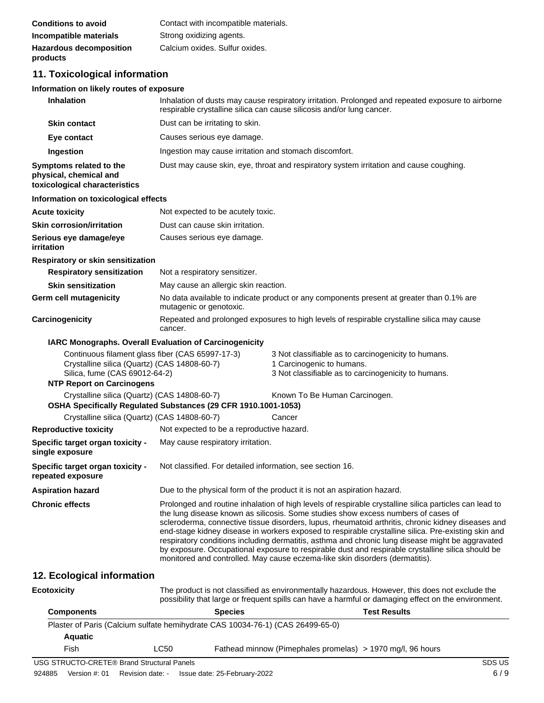| <b>Conditions to avoid</b>     | Contact with incompatible materials. |
|--------------------------------|--------------------------------------|
| Incompatible materials         | Strong oxidizing agents.             |
| <b>Hazardous decomposition</b> | Calcium oxides. Sulfur oxides.       |
| products                       |                                      |

### **11. Toxicological information**

#### **Information on likely routes of exposure**

| <b>Inhalation</b>                                                                                                                                                     | Inhalation of dusts may cause respiratory irritation. Prolonged and repeated exposure to airborne<br>respirable crystalline silica can cause silicosis and/or lung cancer.                                                                                                                                                                                                                                                                                                                                                                                                                                                                                                                        |                                                                                                                                         |  |
|-----------------------------------------------------------------------------------------------------------------------------------------------------------------------|---------------------------------------------------------------------------------------------------------------------------------------------------------------------------------------------------------------------------------------------------------------------------------------------------------------------------------------------------------------------------------------------------------------------------------------------------------------------------------------------------------------------------------------------------------------------------------------------------------------------------------------------------------------------------------------------------|-----------------------------------------------------------------------------------------------------------------------------------------|--|
| <b>Skin contact</b>                                                                                                                                                   | Dust can be irritating to skin.                                                                                                                                                                                                                                                                                                                                                                                                                                                                                                                                                                                                                                                                   |                                                                                                                                         |  |
| Eye contact                                                                                                                                                           | Causes serious eye damage.                                                                                                                                                                                                                                                                                                                                                                                                                                                                                                                                                                                                                                                                        |                                                                                                                                         |  |
| Ingestion                                                                                                                                                             | Ingestion may cause irritation and stomach discomfort.                                                                                                                                                                                                                                                                                                                                                                                                                                                                                                                                                                                                                                            |                                                                                                                                         |  |
| Symptoms related to the<br>physical, chemical and<br>toxicological characteristics                                                                                    |                                                                                                                                                                                                                                                                                                                                                                                                                                                                                                                                                                                                                                                                                                   | Dust may cause skin, eye, throat and respiratory system irritation and cause coughing.                                                  |  |
| Information on toxicological effects                                                                                                                                  |                                                                                                                                                                                                                                                                                                                                                                                                                                                                                                                                                                                                                                                                                                   |                                                                                                                                         |  |
| <b>Acute toxicity</b>                                                                                                                                                 | Not expected to be acutely toxic.                                                                                                                                                                                                                                                                                                                                                                                                                                                                                                                                                                                                                                                                 |                                                                                                                                         |  |
| <b>Skin corrosion/irritation</b>                                                                                                                                      | Dust can cause skin irritation.                                                                                                                                                                                                                                                                                                                                                                                                                                                                                                                                                                                                                                                                   |                                                                                                                                         |  |
| Serious eye damage/eye<br>irritation                                                                                                                                  | Causes serious eye damage.                                                                                                                                                                                                                                                                                                                                                                                                                                                                                                                                                                                                                                                                        |                                                                                                                                         |  |
| Respiratory or skin sensitization                                                                                                                                     |                                                                                                                                                                                                                                                                                                                                                                                                                                                                                                                                                                                                                                                                                                   |                                                                                                                                         |  |
| <b>Respiratory sensitization</b>                                                                                                                                      | Not a respiratory sensitizer.                                                                                                                                                                                                                                                                                                                                                                                                                                                                                                                                                                                                                                                                     |                                                                                                                                         |  |
| <b>Skin sensitization</b>                                                                                                                                             | May cause an allergic skin reaction.                                                                                                                                                                                                                                                                                                                                                                                                                                                                                                                                                                                                                                                              |                                                                                                                                         |  |
| Germ cell mutagenicity                                                                                                                                                | No data available to indicate product or any components present at greater than 0.1% are<br>mutagenic or genotoxic.                                                                                                                                                                                                                                                                                                                                                                                                                                                                                                                                                                               |                                                                                                                                         |  |
| Carcinogenicity                                                                                                                                                       | Repeated and prolonged exposures to high levels of respirable crystalline silica may cause<br>cancer.                                                                                                                                                                                                                                                                                                                                                                                                                                                                                                                                                                                             |                                                                                                                                         |  |
|                                                                                                                                                                       | <b>IARC Monographs. Overall Evaluation of Carcinogenicity</b>                                                                                                                                                                                                                                                                                                                                                                                                                                                                                                                                                                                                                                     |                                                                                                                                         |  |
| Continuous filament glass fiber (CAS 65997-17-3)<br>Crystalline silica (Quartz) (CAS 14808-60-7)<br>Silica, fume (CAS 69012-64-2)<br><b>NTP Report on Carcinogens</b> |                                                                                                                                                                                                                                                                                                                                                                                                                                                                                                                                                                                                                                                                                                   | 3 Not classifiable as to carcinogenicity to humans.<br>1 Carcinogenic to humans.<br>3 Not classifiable as to carcinogenicity to humans. |  |
| Crystalline silica (Quartz) (CAS 14808-60-7)                                                                                                                          |                                                                                                                                                                                                                                                                                                                                                                                                                                                                                                                                                                                                                                                                                                   | Known To Be Human Carcinogen.                                                                                                           |  |
|                                                                                                                                                                       | OSHA Specifically Regulated Substances (29 CFR 1910.1001-1053)                                                                                                                                                                                                                                                                                                                                                                                                                                                                                                                                                                                                                                    |                                                                                                                                         |  |
| Crystalline silica (Quartz) (CAS 14808-60-7)                                                                                                                          |                                                                                                                                                                                                                                                                                                                                                                                                                                                                                                                                                                                                                                                                                                   | Cancer                                                                                                                                  |  |
| <b>Reproductive toxicity</b>                                                                                                                                          | Not expected to be a reproductive hazard.                                                                                                                                                                                                                                                                                                                                                                                                                                                                                                                                                                                                                                                         |                                                                                                                                         |  |
| Specific target organ toxicity -<br>single exposure                                                                                                                   | May cause respiratory irritation.                                                                                                                                                                                                                                                                                                                                                                                                                                                                                                                                                                                                                                                                 |                                                                                                                                         |  |
| Specific target organ toxicity -<br>repeated exposure                                                                                                                 | Not classified. For detailed information, see section 16.                                                                                                                                                                                                                                                                                                                                                                                                                                                                                                                                                                                                                                         |                                                                                                                                         |  |
| <b>Aspiration hazard</b>                                                                                                                                              | Due to the physical form of the product it is not an aspiration hazard.                                                                                                                                                                                                                                                                                                                                                                                                                                                                                                                                                                                                                           |                                                                                                                                         |  |
| <b>Chronic effects</b>                                                                                                                                                | Prolonged and routine inhalation of high levels of respirable crystalline silica particles can lead to<br>the lung disease known as silicosis. Some studies show excess numbers of cases of<br>scleroderma, connective tissue disorders, lupus, rheumatoid arthritis, chronic kidney diseases and<br>end-stage kidney disease in workers exposed to respirable crystalline silica. Pre-existing skin and<br>respiratory conditions including dermatitis, asthma and chronic lung disease might be aggravated<br>by exposure. Occupational exposure to respirable dust and respirable crystalline silica should be<br>monitored and controlled. May cause eczema-like skin disorders (dermatitis). |                                                                                                                                         |  |
| 12. Ecological information                                                                                                                                            |                                                                                                                                                                                                                                                                                                                                                                                                                                                                                                                                                                                                                                                                                                   |                                                                                                                                         |  |
| <b>Ecotoxicity</b>                                                                                                                                                    | The product is not classified as environmentally hazardous. However, this does not exclude the<br>possibility that large or frequent spills can have a harmful or damaging effect on the environment.                                                                                                                                                                                                                                                                                                                                                                                                                                                                                             |                                                                                                                                         |  |

| <b>Components</b> |      | <b>Species</b>                                                                 | <b>Test Results</b> |
|-------------------|------|--------------------------------------------------------------------------------|---------------------|
|                   |      | Plaster of Paris (Calcium sulfate hemihydrate CAS 10034-76-1) (CAS 26499-65-0) |                     |
| <b>Aquatic</b>    |      |                                                                                |                     |
| Fish              | LC50 | Fathead minnow (Pimephales promelas) > 1970 mg/l, 96 hours                     |                     |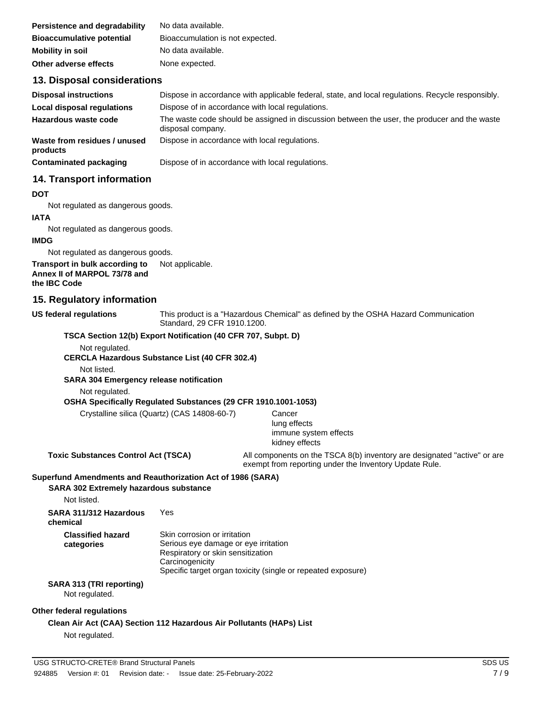| Persistence and degradability    | No data available.               |
|----------------------------------|----------------------------------|
| <b>Bioaccumulative potential</b> | Bioaccumulation is not expected. |
| <b>Mobility in soil</b>          | No data available.               |
| Other adverse effects            | None expected.                   |

### **13. Disposal considerations**

| <b>Disposal instructions</b>             | Dispose in accordance with applicable federal, state, and local regulations. Recycle responsibly.                 |
|------------------------------------------|-------------------------------------------------------------------------------------------------------------------|
| Local disposal regulations               | Dispose of in accordance with local regulations.                                                                  |
| Hazardous waste code                     | The waste code should be assigned in discussion between the user, the producer and the waste<br>disposal company. |
| Waste from residues / unused<br>products | Dispose in accordance with local regulations.                                                                     |
| Contaminated packaging                   | Dispose of in accordance with local regulations.                                                                  |

#### **14. Transport information**

#### **DOT**

Not regulated as dangerous goods.

#### **IATA**

Not regulated as dangerous goods.

#### **IMDG**

Not regulated as dangerous goods.

#### **Transport in bulk according to** Not applicable. **Annex II of MARPOL 73/78 and the IBC Code**

#### **15. Regulatory information**

**US federal regulations**

This product is a "Hazardous Chemical" as defined by the OSHA Hazard Communication Standard, 29 CFR 1910.1200.

#### **TSCA Section 12(b) Export Notification (40 CFR 707, Subpt. D)**

Not regulated.

**CERCLA Hazardous Substance List (40 CFR 302.4)**

Not listed.

**SARA 304 Emergency release notification**

Not regulated.

#### **OSHA Specifically Regulated Substances (29 CFR 1910.1001-1053)**

Crystalline silica (Quartz) (CAS 14808-60-7) Cancer

lung effects immune system effects kidney effects

**Toxic Substances Control Act (TSCA)** All components on the TSCA 8(b) inventory are designated "active" or are exempt from reporting under the Inventory Update Rule.

#### **Superfund Amendments and Reauthorization Act of 1986 (SARA)**

#### **SARA 302 Extremely hazardous substance**

Not listed.

**SARA 311/312 Hazardous** Yes

**chemical Classified hazard**

**categories**

Skin corrosion or irritation Serious eye damage or eye irritation Respiratory or skin sensitization **Carcinogenicity** Specific target organ toxicity (single or repeated exposure)

### **SARA 313 (TRI reporting)**

Not regulated.

#### **Other federal regulations**

### **Clean Air Act (CAA) Section 112 Hazardous Air Pollutants (HAPs) List**

Not regulated.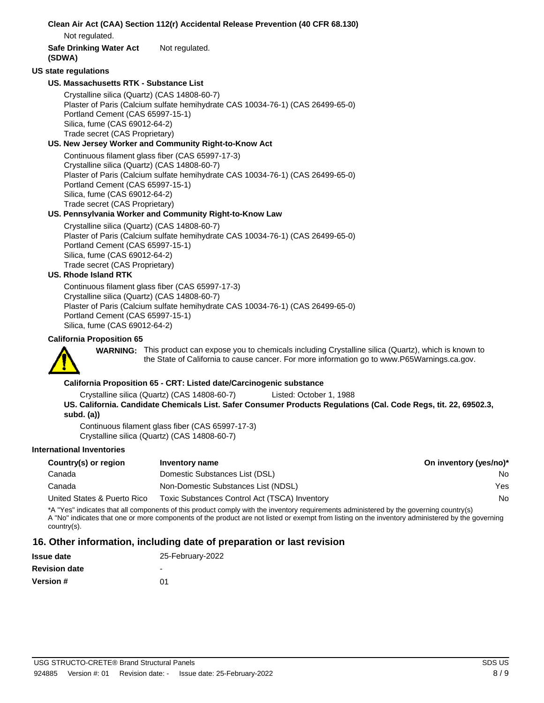| Clean Air Act (CAA) Section 112(r) Accidental Release Prevention (40 CFR 68.130)<br>Not regulated.                                                                                                                                                                                             |
|------------------------------------------------------------------------------------------------------------------------------------------------------------------------------------------------------------------------------------------------------------------------------------------------|
| Not regulated.<br><b>Safe Drinking Water Act</b><br>(SDWA)                                                                                                                                                                                                                                     |
| <b>US state regulations</b>                                                                                                                                                                                                                                                                    |
| US. Massachusetts RTK - Substance List                                                                                                                                                                                                                                                         |
| Crystalline silica (Quartz) (CAS 14808-60-7)<br>Plaster of Paris (Calcium sulfate hemihydrate CAS 10034-76-1) (CAS 26499-65-0)<br>Portland Cement (CAS 65997-15-1)<br>Silica, fume (CAS 69012-64-2)<br>Trade secret (CAS Proprietary)<br>US. New Jersey Worker and Community Right-to-Know Act |
| Continuous filament glass fiber (CAS 65997-17-3)                                                                                                                                                                                                                                               |
| Crystalline silica (Quartz) (CAS 14808-60-7)<br>Plaster of Paris (Calcium sulfate hemihydrate CAS 10034-76-1) (CAS 26499-65-0)<br>Portland Cement (CAS 65997-15-1)<br>Silica, fume (CAS 69012-64-2)<br>Trade secret (CAS Proprietary)                                                          |
| US. Pennsylvania Worker and Community Right-to-Know Law                                                                                                                                                                                                                                        |
| Crystalline silica (Quartz) (CAS 14808-60-7)<br>Plaster of Paris (Calcium sulfate hemihydrate CAS 10034-76-1) (CAS 26499-65-0)<br>Portland Cement (CAS 65997-15-1)<br>Silica, fume (CAS 69012-64-2)<br>Trade secret (CAS Proprietary)<br><b>US. Rhode Island RTK</b>                           |
| Continuous filament glass fiber (CAS 65997-17-3)<br>Crystalline silica (Quartz) (CAS 14808-60-7)<br>Plaster of Paris (Calcium sulfate hemihydrate CAS 10034-76-1) (CAS 26499-65-0)<br>Portland Cement (CAS 65997-15-1)<br>Silica, fume (CAS 69012-64-2)                                        |
| <b>California Proposition 65</b>                                                                                                                                                                                                                                                               |
| WARNING: This product can expose you to chemicals including Crystalline silica (Quartz), which is known to<br>the State of California to cause cancer. For more information go to www.P65Warnings.ca.gov.                                                                                      |
| California Proposition 65 - CRT: Listed date/Carcinogenic substance                                                                                                                                                                                                                            |
| Crystalline silica (Quartz) (CAS 14808-60-7)<br>Listed: October 1, 1988                                                                                                                                                                                                                        |

**US. California. Candidate Chemicals List. Safer Consumer Products Regulations (Cal. Code Regs, tit. 22, 69502.3, subd. (a))**

Continuous filament glass fiber (CAS 65997-17-3) Crystalline silica (Quartz) (CAS 14808-60-7)

### **International Inventories**

| Country(s) or region                                                                                                                       | On inventory (yes/no)*<br>Inventory name      |     |  |
|--------------------------------------------------------------------------------------------------------------------------------------------|-----------------------------------------------|-----|--|
| Canada                                                                                                                                     | Domestic Substances List (DSL)                | No. |  |
| Canada                                                                                                                                     | Non-Domestic Substances List (NDSL)           | Yes |  |
| United States & Puerto Rico                                                                                                                | Toxic Substances Control Act (TSCA) Inventory | No. |  |
| $*$ No $\sim$ indicates that all companents of this product complusith the inventors requirements administered by the governing equatively |                                               |     |  |

\*A "Yes" indicates that all components of this product comply with the inventory requirements administered by the governing country(s) A "No" indicates that one or more components of the product are not listed or exempt from listing on the inventory administered by the governing country(s).

### **16. Other information, including date of preparation or last revision**

| <b>Issue date</b>    | 25-February-2022         |
|----------------------|--------------------------|
| <b>Revision date</b> | $\overline{\phantom{0}}$ |
| <b>Version #</b>     | በ1                       |